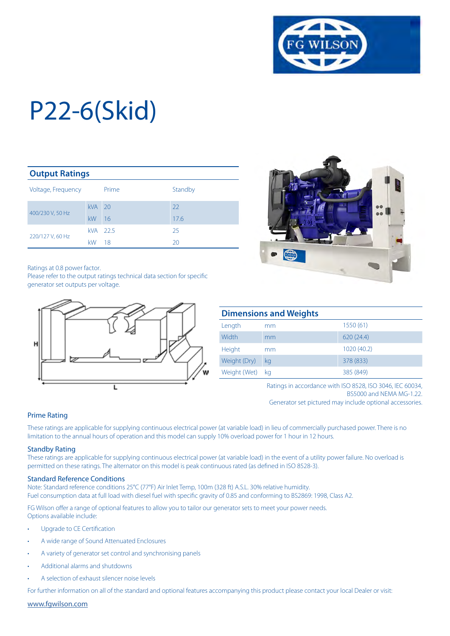

| <b>Output Ratings</b> |            |        |         |  |  |  |
|-----------------------|------------|--------|---------|--|--|--|
| Voltage, Frequency    |            | Prime  | Standby |  |  |  |
| 400/230 V, 50 Hz      | $kVA$ 20   |        | 22      |  |  |  |
|                       | kW         | 16     | 17.6    |  |  |  |
|                       | <b>kVA</b> | - 22.5 | 25      |  |  |  |
| 220/127 V, 60 Hz      | kW         | 18     | 20      |  |  |  |

Ratings at 0.8 power factor.

Please refer to the output ratings technical data section for specific generator set outputs per voltage.





| <b>Dimensions and Weights</b> |    |             |  |  |  |
|-------------------------------|----|-------------|--|--|--|
| Length                        | mm | 1550 (61)   |  |  |  |
| Width                         | mm | 620(24.4)   |  |  |  |
| Height                        | mm | 1020 (40.2) |  |  |  |
| Weight (Dry)                  | kg | 378 (833)   |  |  |  |
| Weight (Wet)                  | ka | 385 (849)   |  |  |  |

Ratings in accordance with ISO 8528, ISO 3046, IEC 60034, BS5000 and NEMA MG-1.22.

Generator set pictured may include optional accessories.

#### Prime Rating

These ratings are applicable for supplying continuous electrical power (at variable load) in lieu of commercially purchased power. There is no limitation to the annual hours of operation and this model can supply 10% overload power for 1 hour in 12 hours.

#### Standby Rating

These ratings are applicable for supplying continuous electrical power (at variable load) in the event of a utility power failure. No overload is permitted on these ratings. The alternator on this model is peak continuous rated (as defined in ISO 8528-3).

#### Standard Reference Conditions

Note: Standard reference conditions 25°C (77°F) Air Inlet Temp, 100m (328 ft) A.S.L. 30% relative humidity. Fuel consumption data at full load with diesel fuel with specific gravity of 0.85 and conforming to BS2869: 1998, Class A2.

FG Wilson offer a range of optional features to allow you to tailor our generator sets to meet your power needs. Options available include:

- Upgrade to CE Certification
- A wide range of Sound Attenuated Enclosures
- A variety of generator set control and synchronising panels
- Additional alarms and shutdowns
- A selection of exhaust silencer noise levels

For further information on all of the standard and optional features accompanying this product please contact your local Dealer or visit:

www.fgwilson.com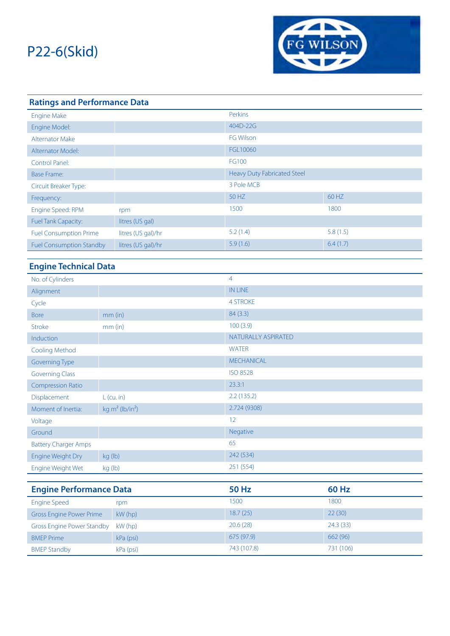

| <b>Ratings and Performance Data</b> |                             |                  |          |  |  |  |
|-------------------------------------|-----------------------------|------------------|----------|--|--|--|
| <b>Engine Make</b>                  |                             | Perkins          |          |  |  |  |
| Engine Model:                       |                             | 404D-22G         |          |  |  |  |
| <b>Alternator Make</b>              |                             | <b>FG Wilson</b> |          |  |  |  |
| <b>Alternator Model:</b>            |                             | FGL10060         |          |  |  |  |
| FG100<br>Control Panel:             |                             |                  |          |  |  |  |
| <b>Base Frame:</b>                  | Heavy Duty Fabricated Steel |                  |          |  |  |  |
| Circuit Breaker Type:               |                             | 3 Pole MCB       |          |  |  |  |
| Frequency:                          |                             | 50 HZ            | 60 HZ    |  |  |  |
| Engine Speed: RPM                   | rpm                         | 1500             | 1800     |  |  |  |
| <b>Fuel Tank Capacity:</b>          | litres (US gal)             |                  |          |  |  |  |
| <b>Fuel Consumption Prime</b>       | litres (US gal)/hr          | 5.2(1.4)         | 5.8(1.5) |  |  |  |
| <b>Fuel Consumption Standby</b>     | litres (US gal)/hr          | 5.9(1.6)         | 6.4(1.7) |  |  |  |

### **Engine Technical Data**

| No. of Cylinders                  |                                         | $\overline{4}$      |              |
|-----------------------------------|-----------------------------------------|---------------------|--------------|
| Alignment                         |                                         | <b>IN LINE</b>      |              |
| Cycle                             |                                         | <b>4 STROKE</b>     |              |
| <b>Bore</b>                       | $mm$ (in)                               | 84(3.3)             |              |
| Stroke                            | $mm$ (in)                               | 100(3.9)            |              |
| Induction                         |                                         | NATURALLY ASPIRATED |              |
| Cooling Method                    |                                         | <b>WATER</b>        |              |
| Governing Type                    |                                         | <b>MECHANICAL</b>   |              |
| <b>Governing Class</b>            |                                         | <b>ISO 8528</b>     |              |
| <b>Compression Ratio</b>          |                                         | 23.3:1              |              |
| Displacement                      | $L$ (cu. in)                            | 2.2(135.2)          |              |
| Moment of Inertia:                | kg m <sup>2</sup> (lb/in <sup>2</sup> ) | 2.724 (9308)        |              |
| Voltage                           |                                         | 12                  |              |
| Ground                            |                                         | Negative            |              |
| <b>Battery Charger Amps</b>       |                                         | 65                  |              |
| Engine Weight Dry                 | kg (lb)                                 | 242 (534)           |              |
| Engine Weight Wet                 | kg (lb)                                 | 251 (554)           |              |
|                                   |                                         |                     |              |
| <b>Engine Performance Data</b>    |                                         | <b>50 Hz</b>        | <b>60 Hz</b> |
| <b>Engine Speed</b>               | rpm                                     | 1500                | 1800         |
| <b>Gross Engine Power Prime</b>   | kW (hp)                                 | 18.7(25)            | 22(30)       |
| <b>Gross Engine Power Standby</b> | kW (hp)                                 | 20.6(28)            | 24.3(33)     |
| <b>BMEP Prime</b>                 | kPa (psi)                               | 675 (97.9)          | 662 (96)     |

BMEP Standby **KPa (psi)** 8743 (107.8) 743 (107.8)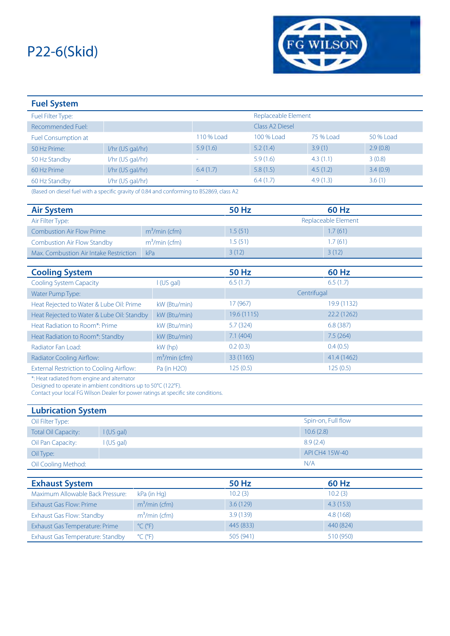

| <b>Fuel System</b>         |                    |            |                             |           |           |
|----------------------------|--------------------|------------|-----------------------------|-----------|-----------|
| Fuel Filter Type:          |                    |            | Replaceable Element         |           |           |
| Recommended Fuel:          |                    |            | Class A <sub>2</sub> Diesel |           |           |
| <b>Fuel Consumption at</b> |                    | 110 % Load | 100 % Load                  | 75 % Load | 50 % Load |
| 50 Hz Prime:               | I/hr (US gal/hr)   | 5.9(1.6)   | 5.2(1.4)                    | 3.9(1)    | 2.9(0.8)  |
| 50 Hz Standby              | $1/hr$ (US gal/hr) | ۰          | 5.9(1.6)                    | 4.3(1.1)  | 3(0.8)    |
| 60 Hz Prime                | I/hr (US gal/hr)   | 6.4(1.7)   | 5.8(1.5)                    | 4.5(1.2)  | 3.4(0.9)  |
| 60 Hz Standby              | I/hr (US gal/hr)   | ۰          | 6.4(1.7)                    | 4.9(1.3)  | 3.6(1)    |

(Based on diesel fuel with a specific gravity of 0.84 and conforming to BS2869, class A2

| <b>Air System</b>                          |                | <b>50 Hz</b> | <b>60 Hz</b>        |  |
|--------------------------------------------|----------------|--------------|---------------------|--|
| Air Filter Type:                           |                |              | Replaceable Element |  |
| <b>Combustion Air Flow Prime</b>           | $m3/min$ (cfm) | 1.5(51)      | 1.7(61)             |  |
| <b>Combustion Air Flow Standby</b>         | $m3/min$ (cfm) | 1.5(51)      | 1.7(61)             |  |
| Max. Combustion Air Intake Restriction     | kPa            | 3(12)        | 3(12)               |  |
|                                            |                |              |                     |  |
| <b>Cooling System</b>                      |                | <b>50 Hz</b> | <b>60 Hz</b>        |  |
| <b>Cooling System Capacity</b>             | (US gal)       | 6.5(1.7)     | 6.5(1.7)            |  |
| Water Pump Type:                           |                |              | Centrifugal         |  |
| Heat Rejected to Water & Lube Oil: Prime   | kW (Btu/min)   | 17 (967)     | 19.9 (1132)         |  |
| Heat Rejected to Water & Lube Oil: Standby | kW (Btu/min)   | 19.6 (1115)  | 22.2 (1262)         |  |
| Heat Radiation to Room*: Prime             | kW (Btu/min)   | 5.7(324)     | 6.8(387)            |  |
| Heat Radiation to Room*: Standby           | kW (Btu/min)   | 7.1(404)     | 7.5(264)            |  |
| Radiator Fan Load:                         | $kW$ (hp)      | 0.2(0.3)     | 0.4(0.5)            |  |
| <b>Radiator Cooling Airflow:</b>           | $m3/min$ (cfm) | 33 (1165)    | 41.4 (1462)         |  |
| External Restriction to Cooling Airflow:   | Pa (in H2O)    | 125(0.5)     | 125(0.5)            |  |

\*: Heat radiated from engine and alternator

Designed to operate in ambient conditions up to 50°C (122°F).

Contact your local FG Wilson Dealer for power ratings at specific site conditions.

| <b>Lubrication System</b>  |            |                    |  |  |  |
|----------------------------|------------|--------------------|--|--|--|
| Oil Filter Type:           |            | Spin-on, Full flow |  |  |  |
| <b>Total Oil Capacity:</b> | I(US gal)  | 10.6(2.8)          |  |  |  |
| Oil Pan Capacity:          | l (US gal) | 8.9(2.4)           |  |  |  |
| Oil Type:                  |            | API CH4 15W-40     |  |  |  |
| Oil Cooling Method:        |            | N/A                |  |  |  |

| <b>Exhaust System</b>            |                              | 50 Hz     | 60 Hz     |
|----------------------------------|------------------------------|-----------|-----------|
| Maximum Allowable Back Pressure: | kPa (in Hg)                  | 10.2(3)   | 10.2(3)   |
| Exhaust Gas Flow: Prime          | $m3/min$ (cfm)               | 3.6(129)  | 4.3(153)  |
| Exhaust Gas Flow: Standby        | $m3/min$ (cfm)               | 3.9(139)  | 4.8 (168) |
| Exhaust Gas Temperature: Prime   | $^{\circ}$ C ( $^{\circ}$ F) | 445 (833) | 440 (824) |
| Exhaust Gas Temperature: Standby | $^{\circ}$ C ( $^{\circ}$ F) | 505 (941) | 510 (950) |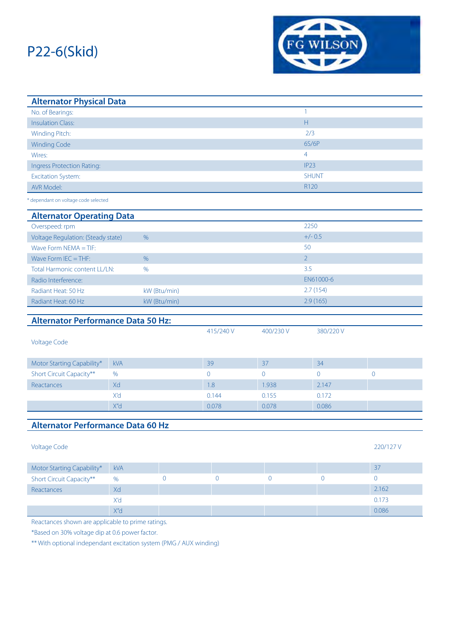

| <b>Alternator Physical Data</b>           |            |                |                |                |                  |                |
|-------------------------------------------|------------|----------------|----------------|----------------|------------------|----------------|
| No. of Bearings:                          |            |                |                |                | $\mathbf{1}$     |                |
| <b>Insulation Class:</b>                  |            |                |                |                | $\mathsf H$      |                |
| Winding Pitch:                            |            |                |                |                | 2/3              |                |
| <b>Winding Code</b>                       |            |                |                |                | 6S/6P            |                |
| Wires:                                    |            |                |                |                | 4                |                |
| <b>Ingress Protection Rating:</b>         |            |                |                |                | IP <sub>23</sub> |                |
| <b>Excitation System:</b>                 |            |                |                |                | <b>SHUNT</b>     |                |
| AVR Model:                                |            |                |                |                | R120             |                |
| dependant on voltage code selected        |            |                |                |                |                  |                |
| <b>Alternator Operating Data</b>          |            |                |                |                |                  |                |
| Overspeed: rpm                            |            |                |                |                | 2250             |                |
| Voltage Regulation: (Steady state)        |            | $\%$           |                |                | $+/- 0.5$        |                |
| Wave Form $NEMA = TIF$ :                  |            |                |                |                | 50               |                |
| Wave Form $IEC = THF$ :                   |            | %              |                |                | 2 <sup>1</sup>   |                |
| Total Harmonic content LL/LN:             |            | $\%$           |                |                | 3.5              |                |
| Radio Interference:                       |            |                |                |                | EN61000-6        |                |
| Radiant Heat: 50 Hz                       |            | kW (Btu/min)   | 2.7(154)       |                |                  |                |
| Radiant Heat: 60 Hz                       |            | kW (Btu/min)   |                |                | 2.9(165)         |                |
| <b>Alternator Performance Data 50 Hz:</b> |            |                |                |                |                  |                |
|                                           |            |                | 415/240 V      | 400/230 V      | 380/220V         |                |
| <b>Voltage Code</b>                       |            |                |                |                |                  |                |
|                                           |            |                |                |                |                  |                |
| Motor Starting Capability*                | <b>kVA</b> |                | 39             | 37             | 34               |                |
| Short Circuit Capacity**                  | %          |                | $\overline{0}$ | $\overline{0}$ | $\overline{0}$   | $\overline{0}$ |
| Reactances                                | Xd         |                | 1.8            | 1.938          | 2.147            |                |
|                                           | X'd        |                | 0.144          | 0.155          | 0.172            |                |
|                                           | X"d        |                | 0.078          | 0.078          | 0.086            |                |
|                                           |            |                |                |                |                  |                |
| <b>Alternator Performance Data 60 Hz</b>  |            |                |                |                |                  |                |
|                                           |            |                |                |                |                  |                |
| <b>Voltage Code</b>                       |            |                |                |                |                  | 220/127 V      |
| Motor Starting Capability*                | <b>kVA</b> |                |                |                |                  | 37             |
| Short Circuit Capacity**                  | $\%$       | $\overline{0}$ | $\mathbf 0$    | $\overline{0}$ | $\overline{0}$   | $\overline{0}$ |
| Reactances                                |            |                |                |                |                  | 2.162          |
|                                           |            |                |                |                |                  |                |
|                                           | Xd<br>X'd  |                |                |                |                  | 0.173          |
|                                           | X"d        |                |                |                |                  | 0.086          |

Reactances shown are applicable to prime ratings.

\*Based on 30% voltage dip at 0.6 power factor.

\*\* With optional independant excitation system (PMG / AUX winding)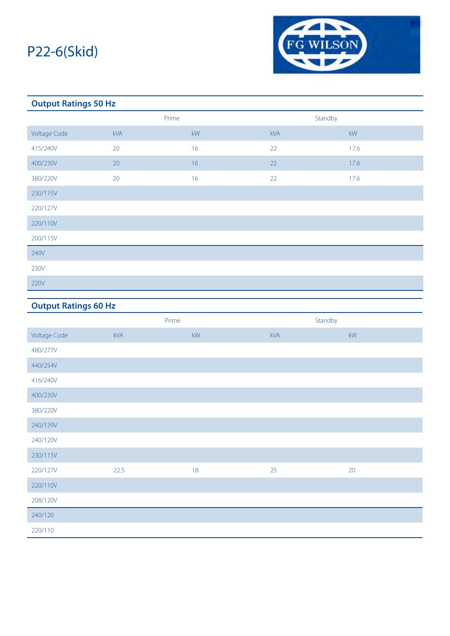

### **Output Ratings 50 Hz**

|                     | Prime      |           | Standby |      |
|---------------------|------------|-----------|---------|------|
| <b>Voltage Code</b> | <b>kVA</b> | <b>kW</b> | kVA     | kW   |
| 415/240V            | 20         | 16        | 22      | 17.6 |
| 400/230V            | 20         | 16        | 22      | 17.6 |
| 380/220V            | 20         | 16        | 22      | 17.6 |
| 230/115V            |            |           |         |      |
| 220/127V            |            |           |         |      |
| 220/110V            |            |           |         |      |
| 200/115V            |            |           |         |      |
| 240V                |            |           |         |      |
| 230V                |            |           |         |      |
| 220V                |            |           |         |      |

## **Output Ratings 60 Hz**

|                     | Prime |    | Standby |                        |
|---------------------|-------|----|---------|------------------------|
| <b>Voltage Code</b> | kVA   | kW | kVA     | $\mathsf{k}\mathsf{W}$ |
| 480/277V            |       |    |         |                        |
| 440/254V            |       |    |         |                        |
| 416/240V            |       |    |         |                        |
| 400/230V            |       |    |         |                        |
| 380/220V            |       |    |         |                        |
| 240/139V            |       |    |         |                        |
| 240/120V            |       |    |         |                        |
| 230/115V            |       |    |         |                        |
| 220/127V            | 22.5  | 18 | 25      | 20                     |
| 220/110V            |       |    |         |                        |
| 208/120V            |       |    |         |                        |
| 240/120             |       |    |         |                        |
| 220/110             |       |    |         |                        |